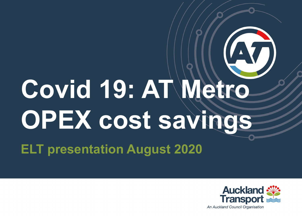# **Covid 19: AT Metro OPEX cost savings ELT presentation August 2020**



**AT**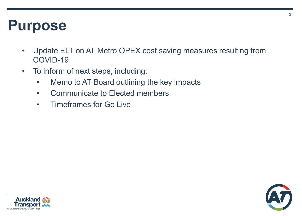#### **Purpose**

- Update ELT on AT Metro OPEX cost saving measures resulting from COVID-19
- To inform of next steps, including:
	- Memo to AT Board outlining the key impacts
	- Communicate to Elected members
	- Timeframes for Go Live



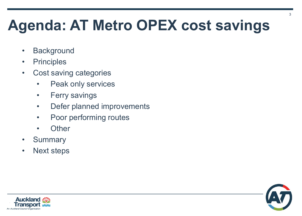# **Agenda: AT Metro OPEX cost savings**

- Background
- Principles
- Cost saving categories
	- Peak only services
	- Ferry savings
	- Defer planned improvements
	- Poor performing routes
	- Other
- Summary
- Next steps



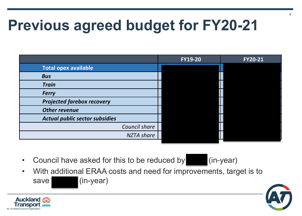### **Previous agreed budget for FY20-21**

|                                       | <b>FY19-20</b> | <b>FY20-21</b> |
|---------------------------------------|----------------|----------------|
| Total opex available                  |                |                |
| <b>Bus</b>                            |                |                |
| <b>Train</b>                          |                |                |
| <b>Ferry</b>                          |                |                |
| <b>Projected farebox recovery</b>     |                |                |
| <b>Other revenue</b>                  |                |                |
| <b>Actual public sector subsidies</b> |                |                |
| Council share                         |                |                |
| <b>NZTA</b> share                     |                |                |
|                                       |                |                |

• Council have asked for this to be reduced by  $\blacksquare$  (in-year)



• With additional ERAA costs and need for improvements, target is to save (in-year)



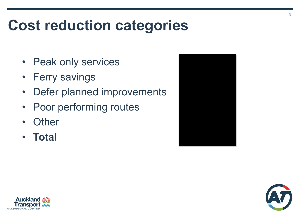#### **Cost reduction categories**

- Peak only services
- Ferry savings
- Defer planned improvements
- Poor performing routes
- **Other**
- 





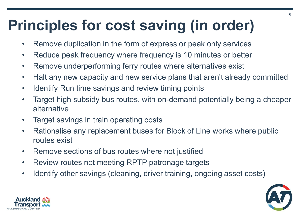# **Principles for cost saving (in order)**

- Remove duplication in the form of express or peak only services
- Reduce peak frequency where frequency is 10 minutes or better
- Remove underperforming ferry routes where alternatives exist
- Halt any new capacity and new service plans that aren't already committed
- Identify Run time savings and review timing points
- Target high subsidy bus routes, with on-demand potentially being a cheaper alternative
- Target savings in train operating costs
- Rationalise any replacement buses for Block of Line works where public routes exist
- Remove sections of bus routes where not justified
- Review routes not meeting RPTP patronage targets
- Identify other savings (cleaning, driver training, ongoing asset costs)



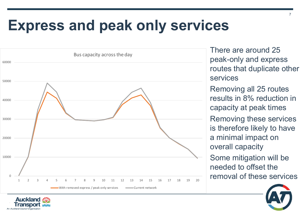#### **Express and peak only services**



There are around 25 peak-only and express routes that duplicate other services

• Removing all 25 routes results in 8% reduction in capacity at peak times Removing these services is therefore likely to have a minimal impact on overall capacity Some mitigation will be

needed to offset the



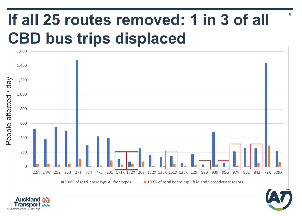# **CBD bus trips displaced If all 25 routes removed: 1 in 3 of all**







8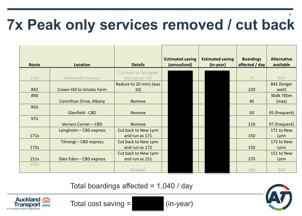#### 9 **7x Peak only services removed / cut back**

| Route | Location                         | <b>Details</b>         | <b>Estimated saving</b><br>(annualised) | <b>Estimated saving</b><br>(in-year) | <b>Boardings</b><br>affected / day | <b>Alternative</b><br>available |
|-------|----------------------------------|------------------------|-----------------------------------------|--------------------------------------|------------------------------------|---------------------------------|
|       |                                  | Cut back to Westgate   |                                         |                                      |                                    |                                 |
| 125x  | Helensville express              | and run as 125         |                                         |                                      | 75                                 | N/A                             |
|       |                                  | Reduce to 20 mins (was |                                         |                                      |                                    | 842 (longer                     |
| 842   | <b>Crown Hill to Smales Farm</b> | 10)                    |                                         |                                      | 220                                | wait)                           |
| 890   |                                  |                        |                                         |                                      |                                    | Walk 700m                       |
|       | Corinthian Drive, Albany         | Remove                 |                                         |                                      | 40                                 | (max)                           |
| 95G   |                                  |                        |                                         |                                      |                                    |                                 |
|       | Glenfield - CBD                  | Remove                 |                                         |                                      | 50                                 | 95 (frequent)                   |
| 97V   |                                  |                        |                                         |                                      |                                    |                                 |
|       | Verrans Corner - CBD             | Remove                 |                                         |                                      | 210                                | 97 (frequent)                   |
|       | Laingholm - CBD express          | Cut back to New Lynn   |                                         |                                      |                                    | 171 to New                      |
| 171x  |                                  | and run as 171         |                                         |                                      | 150                                | Lynn                            |
|       | Titirangi - CBD express          | Cut back to New Lynn   |                                         |                                      |                                    | 172 to New                      |
| 172x  |                                  | and run as 172         |                                         |                                      | 150                                | Lynn                            |
|       |                                  | Cut back to New Lynn   |                                         |                                      |                                    | 151 to New                      |
| 151x  | Glen Eden - CBD express          | and run as 151         |                                         |                                      | 270                                | Lynn                            |
| 309x  |                                  |                        |                                         |                                      |                                    |                                 |
|       |                                  | Remove                 |                                         |                                      | 300                                | 300                             |

Total boardings affected = 1,040 / day



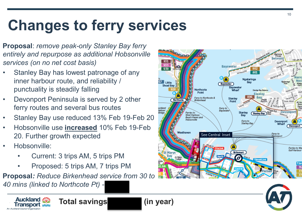# **Changes to ferry services**

**Proposal**: *remove peak-only Stanley Bay ferry entirely and repurpose as additional Hobsonville services (on no net cost basis)*

- Stanley Bay has lowest patronage of any inner harbour route, and reliability / punctuality is steadily falling
- Devonport Peninsula is served by 2 other ferry routes and several bus routes
- Stanley Bay use reduced 13% Feb 19 -Feb 20
- Hobsonville use **increased** 10% Feb 19 -Feb 20. Further growth expected
- - Hobsonville: Current: 3 trips AM, 5 trips PM
		- Proposed: 5 trips AM, 7 trips PM

**Proposal***: Reduce Birkenhead service from 30 to* 

**Total savings 150,000 (in year)** 

*40 mins (linked to Northcote Pt) - \$150k*





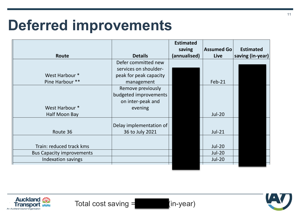#### **Deferred improvements**

|                                  |                         | <b>Estimated</b> |                   |                  |
|----------------------------------|-------------------------|------------------|-------------------|------------------|
|                                  |                         | saving           | <b>Assumed Go</b> | <b>Estimated</b> |
| Route                            | <b>Details</b>          | (annualised)     | <b>Live</b>       | saving (in-year) |
|                                  | Defer committed new     |                  |                   |                  |
|                                  | services on shoulder-   |                  |                   |                  |
| West Harbour *                   | peak for peak capacity  |                  |                   |                  |
| Pine Harbour **                  | management              |                  | Feb-21            |                  |
|                                  | Remove previously       |                  |                   |                  |
|                                  | budgeted improvements   |                  |                   |                  |
|                                  | on inter-peak and       |                  |                   |                  |
| West Harbour *                   | evening                 |                  |                   |                  |
| Half Moon Bay                    |                         |                  | <b>Jul-20</b>     |                  |
|                                  |                         |                  |                   |                  |
|                                  | Delay implementation of |                  |                   |                  |
| Route 36                         | 36 to July 2021         |                  | Jul-21            |                  |
|                                  |                         |                  |                   |                  |
| Train: reduced track kms         |                         |                  | <b>Jul-20</b>     |                  |
| <b>Bus Capacity improvements</b> |                         |                  | <b>Jul-20</b>     |                  |
| Indexation savings               |                         |                  | <b>Jul-20</b>     |                  |
|                                  |                         |                  |                   |                  |



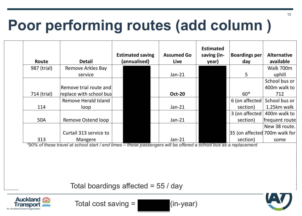# **Poor performing routes (add column )**

| Route                   | <b>Detail</b>                                                                                                                                                                                                                             | <b>Estimated saving</b><br>(annualised) | <b>Assumed Go</b><br>Live | <b>Estimated</b><br>saving (in-<br>year) | <b>Boardings per</b><br>day   | <b>Alternative</b><br>available |
|-------------------------|-------------------------------------------------------------------------------------------------------------------------------------------------------------------------------------------------------------------------------------------|-----------------------------------------|---------------------------|------------------------------------------|-------------------------------|---------------------------------|
| 987 (trial)             | <b>Remove Arkles Bay</b>                                                                                                                                                                                                                  |                                         |                           |                                          |                               | Walk 700m                       |
|                         | service                                                                                                                                                                                                                                   |                                         | $Jan-21$                  |                                          | 5                             | uphill                          |
|                         |                                                                                                                                                                                                                                           |                                         |                           |                                          |                               | School bus or                   |
|                         | Remove trial route and                                                                                                                                                                                                                    |                                         |                           |                                          |                               | 400m walk to                    |
| 714 (trial)             | replace with school bus                                                                                                                                                                                                                   |                                         | <b>Oct-20</b>             |                                          | $60*$                         | 712                             |
|                         | Remove Herald Island                                                                                                                                                                                                                      |                                         |                           |                                          | 6 (on affected)               | School bus or                   |
| 114                     | loop                                                                                                                                                                                                                                      |                                         | $Jan-21$                  |                                          | section)                      | 1.25km walk                     |
|                         |                                                                                                                                                                                                                                           |                                         |                           |                                          | 3 (on affected)               | 400m walk to                    |
| 50A                     | Remove Ostend loop                                                                                                                                                                                                                        |                                         | $Jan-21$                  |                                          | section)                      | frequent route                  |
|                         |                                                                                                                                                                                                                                           |                                         |                           |                                          |                               | New 38 route.                   |
|                         | Curtail 313 service to                                                                                                                                                                                                                    |                                         |                           |                                          | 35 (on affected 700m walk for |                                 |
| 313<br>$+0.00/$ $-0.01$ | Mangere<br>the contract contract of a state of the contract of the state of the state of the state of the state of the state of the state of the state of the state of the state of the state of the state of the state of the state of t | $\mathbf{H}$ , $\mathbf{H}$             | $Jan-21$                  |                                          | section)                      | some                            |

*\*90% of these travel at school start / end times – these passengers will be offered a school bus as a replacement*

Total boardings affected = 55 / day



Total cost saving  $=$   $($ in-year)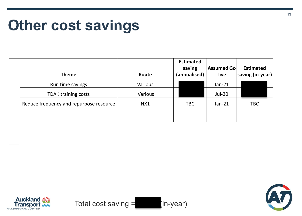#### **Other cost savings**

| <b>Theme</b>                            | Route   | <b>Estimated</b><br>saving<br>(annualised) | <b>Assumed Go</b><br>Live | <b>Estimated</b><br>saving (in-year) |
|-----------------------------------------|---------|--------------------------------------------|---------------------------|--------------------------------------|
| Run time savings                        | Various |                                            | $Jan-21$                  |                                      |
| <b>TDAK training costs</b>              | Various |                                            | Jul-20                    |                                      |
| Reduce frequency and repurpose resource | NX1     | <b>TBC</b>                                 | $Jan-21$                  | <b>TBC</b>                           |
|                                         |         |                                            |                           |                                      |



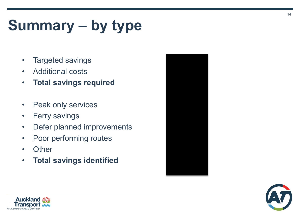# **Summary – by type**

- Targeted savings
- Additional costs
- **Total savings required \$14.1m**
- Peak only services
- Ferry savings
- Defer planned improvements
- Poor performing routes
- 
- **Total savings identified \$14.6m**





14

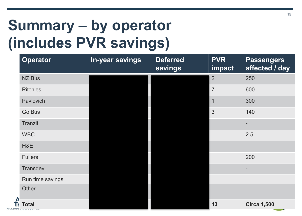# **Summary – by operator (includes PVR savings)**

An Aucki

| <b>Operator</b>  | In-year savings | <b>Deferred</b><br>savings | <b>PVR</b><br>impact | <b>Passengers</b><br>affected / day |
|------------------|-----------------|----------------------------|----------------------|-------------------------------------|
| NZ Bus           |                 |                            | $\overline{2}$       | 250                                 |
| <b>Ritchies</b>  |                 |                            | $\overline{7}$       | 600                                 |
| Pavlovich        |                 |                            | $\overline{1}$       | 300                                 |
| Go Bus           |                 |                            | $\mathfrak{Z}$       | 140                                 |
| <b>Tranzit</b>   |                 |                            |                      | $\sim$                              |
| <b>WBC</b>       |                 |                            |                      | 2.5                                 |
| H&E              |                 |                            |                      |                                     |
| <b>Fullers</b>   |                 |                            |                      | 200                                 |
| <b>Transdev</b>  |                 |                            |                      |                                     |
| Run time savings |                 |                            |                      |                                     |
| Other            |                 |                            |                      |                                     |
| <b>Total</b>     |                 |                            | 13                   | <b>Circa 1,500</b>                  |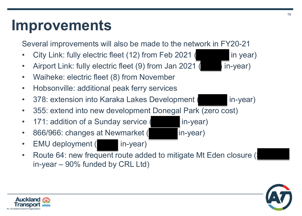#### **Improvements**

Several improvements will also be made to the network in FY20-21

- City Link: fully electric fleet (12) from Feb 2021 (  $\blacksquare$  in year)
- Airport Link: fully electric fleet (9) from Jan 2021 (**1.1m** in-year)
- Waiheke: electric fleet (8) from November
- Hobsonville: additional peak ferry services
- 378: extension into Karaka Lakes Development (  $\blacksquare$  in-year)
- 355: extend into new development Donegal Park (zero cost)
- 171: addition of a Sunday service ( in-year)
- 866/966: changes at Newmarket ( in-year)
- EMU deployment ( in-year)
- Route 64: new frequent route added to mitigate Mt Eden closure ( in-year – 90% funded by CRL Ltd)



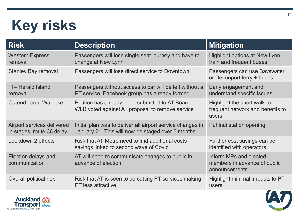#### **Key risks**

| <b>Risk</b>                                             | <b>Description</b>                                                                                              | <b>Mitigation</b>                                                        |
|---------------------------------------------------------|-----------------------------------------------------------------------------------------------------------------|--------------------------------------------------------------------------|
| <b>Western Express</b><br>removal                       | Passengers will lose single seat journey and have to<br>change at New Lynn                                      | Highlight options at New Lynn,<br>train and frequent buses               |
| <b>Stanley Bay removal</b>                              | Passengers will lose direct service to Downtown                                                                 | Passengers can use Bayswater<br>or Devonport ferry + buses               |
| 114 Herald Island<br>removal                            | Passengers without access to car will be left without a<br>PT service. Facebook group has already formed        | Early engagement and<br>understand specific issues                       |
| Ostend Loop, Waiheke                                    | Petition has already been submitted to AT Board.<br>WLB voted against AT proposal to remove service             | Highlight the short walk to<br>frequent network and benefits to<br>users |
| Airport services delivered<br>in stages, route 36 delay | Initial plan was to deliver all airport service changes in<br>January 21. This will now be staged over 6 months | Puhinui station opening                                                  |
| Lockdown 2 effects                                      | Risk that AT Metro need to find additional costs<br>savings linked to second wave of Covid                      | Further cost savings can be<br>identified with operators                 |
| <b>Election delays and</b><br>communication             | AT will need to communicate changes to public in<br>advance of election                                         | Inform MPs and elected<br>members in advance of public<br>announcements  |
| Overall political risk                                  | Risk that AT is seen to be cutting PT services making<br>PT less attractive.                                    | Highlight minimal impacts to PT<br>users                                 |